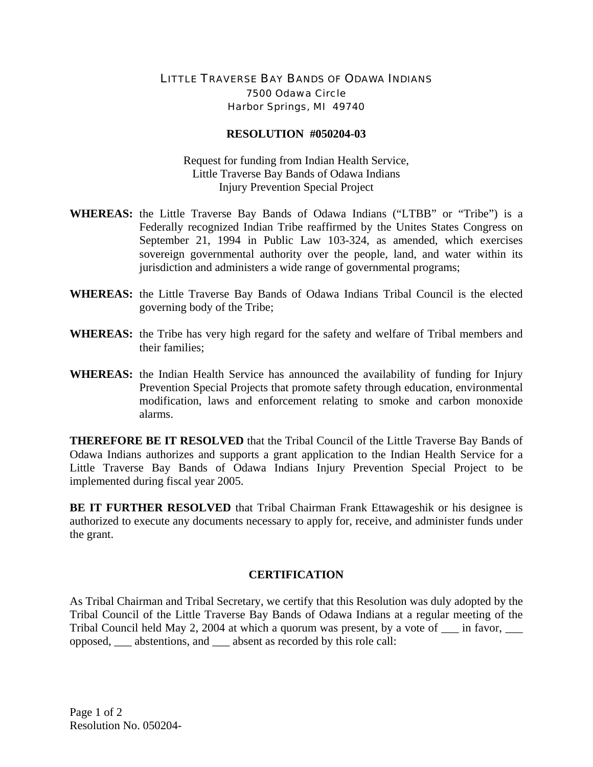## LITTLE TRAVERSE BAY BANDS OF ODAWA INDIANS 7500 Odawa Circle Harbor Springs, MI 49740

## **RESOLUTION #050204-03**

Request for funding from Indian Health Service, Little Traverse Bay Bands of Odawa Indians Injury Prevention Special Project

- **WHEREAS:** the Little Traverse Bay Bands of Odawa Indians ("LTBB" or "Tribe") is a Federally recognized Indian Tribe reaffirmed by the Unites States Congress on September 21, 1994 in Public Law 103-324, as amended, which exercises sovereign governmental authority over the people, land, and water within its jurisdiction and administers a wide range of governmental programs;
- **WHEREAS:** the Little Traverse Bay Bands of Odawa Indians Tribal Council is the elected governing body of the Tribe;
- **WHEREAS:** the Tribe has very high regard for the safety and welfare of Tribal members and their families;
- **WHEREAS:** the Indian Health Service has announced the availability of funding for Injury Prevention Special Projects that promote safety through education, environmental modification, laws and enforcement relating to smoke and carbon monoxide alarms.

**THEREFORE BE IT RESOLVED** that the Tribal Council of the Little Traverse Bay Bands of Odawa Indians authorizes and supports a grant application to the Indian Health Service for a Little Traverse Bay Bands of Odawa Indians Injury Prevention Special Project to be implemented during fiscal year 2005.

**BE IT FURTHER RESOLVED** that Tribal Chairman Frank Ettawageshik or his designee is authorized to execute any documents necessary to apply for, receive, and administer funds under the grant.

## **CERTIFICATION**

As Tribal Chairman and Tribal Secretary, we certify that this Resolution was duly adopted by the Tribal Council of the Little Traverse Bay Bands of Odawa Indians at a regular meeting of the Tribal Council held May 2, 2004 at which a quorum was present, by a vote of  $\_\_$ in favor,  $\_\_$ opposed, \_\_\_ abstentions, and \_\_\_ absent as recorded by this role call: